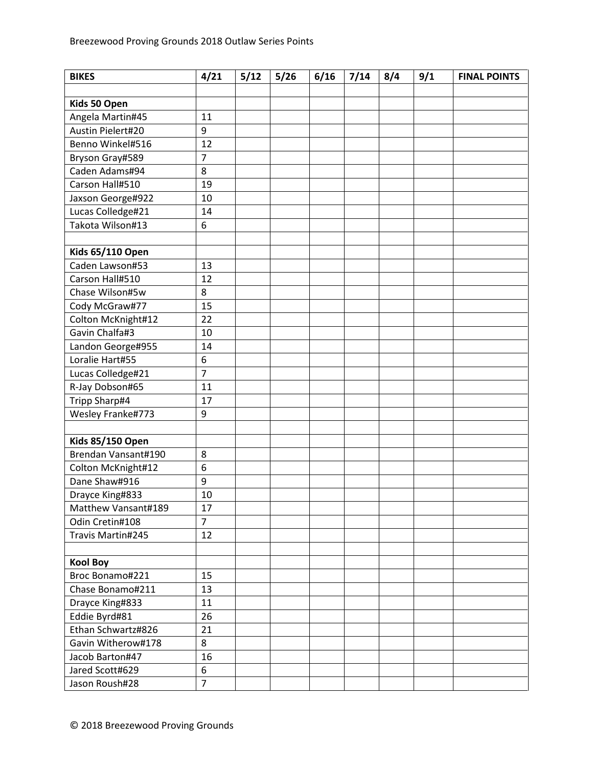| <b>BIKES</b>            | 4/21           | 5/12 | 5/26 | 6/16 | 7/14 | 8/4 | 9/1 | <b>FINAL POINTS</b> |
|-------------------------|----------------|------|------|------|------|-----|-----|---------------------|
|                         |                |      |      |      |      |     |     |                     |
| Kids 50 Open            |                |      |      |      |      |     |     |                     |
| Angela Martin#45        | 11             |      |      |      |      |     |     |                     |
| Austin Pielert#20       | 9              |      |      |      |      |     |     |                     |
| Benno Winkel#516        | 12             |      |      |      |      |     |     |                     |
| Bryson Gray#589         | $\overline{7}$ |      |      |      |      |     |     |                     |
| Caden Adams#94          | 8              |      |      |      |      |     |     |                     |
| Carson Hall#510         | 19             |      |      |      |      |     |     |                     |
| Jaxson George#922       | 10             |      |      |      |      |     |     |                     |
| Lucas Colledge#21       | 14             |      |      |      |      |     |     |                     |
| Takota Wilson#13        | 6              |      |      |      |      |     |     |                     |
|                         |                |      |      |      |      |     |     |                     |
| <b>Kids 65/110 Open</b> |                |      |      |      |      |     |     |                     |
| Caden Lawson#53         | 13             |      |      |      |      |     |     |                     |
| Carson Hall#510         | 12             |      |      |      |      |     |     |                     |
| Chase Wilson#5w         | 8              |      |      |      |      |     |     |                     |
| Cody McGraw#77          | 15             |      |      |      |      |     |     |                     |
| Colton McKnight#12      | 22             |      |      |      |      |     |     |                     |
| Gavin Chalfa#3          | 10             |      |      |      |      |     |     |                     |
| Landon George#955       | 14             |      |      |      |      |     |     |                     |
| Loralie Hart#55         | 6              |      |      |      |      |     |     |                     |
| Lucas Colledge#21       | $\overline{7}$ |      |      |      |      |     |     |                     |
| R-Jay Dobson#65         | 11             |      |      |      |      |     |     |                     |
| Tripp Sharp#4           | 17             |      |      |      |      |     |     |                     |
| Wesley Franke#773       | 9              |      |      |      |      |     |     |                     |
|                         |                |      |      |      |      |     |     |                     |
| <b>Kids 85/150 Open</b> |                |      |      |      |      |     |     |                     |
| Brendan Vansant#190     | 8              |      |      |      |      |     |     |                     |
| Colton McKnight#12      | 6              |      |      |      |      |     |     |                     |
| Dane Shaw#916           | 9              |      |      |      |      |     |     |                     |
| Drayce King#833         | 10             |      |      |      |      |     |     |                     |
| Matthew Vansant#189     | 17             |      |      |      |      |     |     |                     |
| Odin Cretin#108         | $\overline{7}$ |      |      |      |      |     |     |                     |
| Travis Martin#245       | 12             |      |      |      |      |     |     |                     |
|                         |                |      |      |      |      |     |     |                     |
| <b>Kool Boy</b>         |                |      |      |      |      |     |     |                     |
| Broc Bonamo#221         | 15             |      |      |      |      |     |     |                     |
| Chase Bonamo#211        | 13             |      |      |      |      |     |     |                     |
| Drayce King#833         | 11             |      |      |      |      |     |     |                     |
| Eddie Byrd#81           | 26             |      |      |      |      |     |     |                     |
| Ethan Schwartz#826      | 21             |      |      |      |      |     |     |                     |
| Gavin Witherow#178      | 8              |      |      |      |      |     |     |                     |
| Jacob Barton#47         | 16             |      |      |      |      |     |     |                     |
| Jared Scott#629         | 6              |      |      |      |      |     |     |                     |
| Jason Roush#28          | $\overline{7}$ |      |      |      |      |     |     |                     |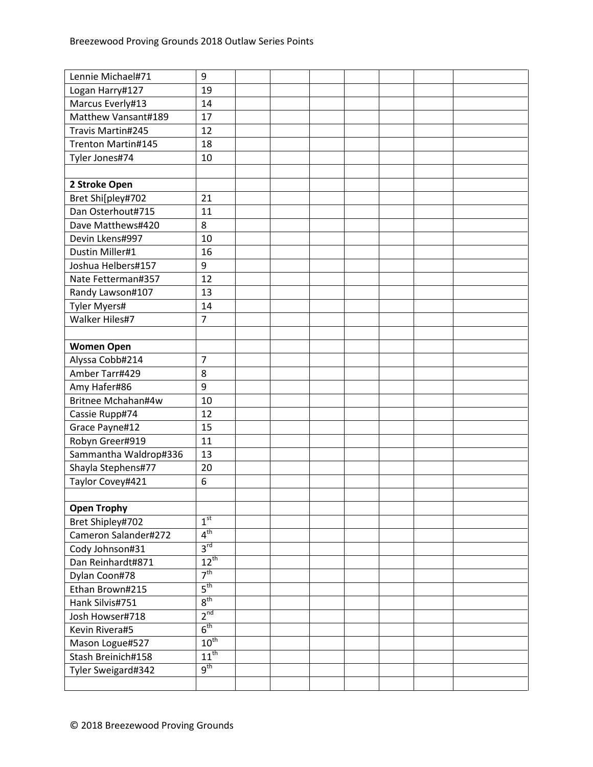| Lennie Michael#71     | 9                |  |  |  |  |
|-----------------------|------------------|--|--|--|--|
| Logan Harry#127       | 19               |  |  |  |  |
| Marcus Everly#13      | 14               |  |  |  |  |
| Matthew Vansant#189   | 17               |  |  |  |  |
| Travis Martin#245     | 12               |  |  |  |  |
| Trenton Martin#145    | 18               |  |  |  |  |
| Tyler Jones#74        | 10               |  |  |  |  |
|                       |                  |  |  |  |  |
| 2 Stroke Open         |                  |  |  |  |  |
| Bret Shi[pley#702     | 21               |  |  |  |  |
| Dan Osterhout#715     | 11               |  |  |  |  |
| Dave Matthews#420     | 8                |  |  |  |  |
| Devin Lkens#997       | 10               |  |  |  |  |
| Dustin Miller#1       | 16               |  |  |  |  |
| Joshua Helbers#157    | 9                |  |  |  |  |
| Nate Fetterman#357    | 12               |  |  |  |  |
| Randy Lawson#107      | 13               |  |  |  |  |
| <b>Tyler Myers#</b>   | 14               |  |  |  |  |
| Walker Hiles#7        | $\overline{7}$   |  |  |  |  |
|                       |                  |  |  |  |  |
| <b>Women Open</b>     |                  |  |  |  |  |
| Alyssa Cobb#214       | $\overline{7}$   |  |  |  |  |
| Amber Tarr#429        | 8                |  |  |  |  |
| Amy Hafer#86          | 9                |  |  |  |  |
| Britnee Mchahan#4w    | 10               |  |  |  |  |
| Cassie Rupp#74        | 12               |  |  |  |  |
| Grace Payne#12        | 15               |  |  |  |  |
| Robyn Greer#919       | 11               |  |  |  |  |
| Sammantha Waldrop#336 | 13               |  |  |  |  |
| Shayla Stephens#77    | 20               |  |  |  |  |
| Taylor Covey#421      | 6                |  |  |  |  |
|                       |                  |  |  |  |  |
| <b>Open Trophy</b>    |                  |  |  |  |  |
| Bret Shipley#702      | 1 <sup>st</sup>  |  |  |  |  |
| Cameron Salander#272  | $4^{\rm th}$     |  |  |  |  |
| Cody Johnson#31       | $3^{\text{rd}}$  |  |  |  |  |
| Dan Reinhardt#871     | $12^{\text{th}}$ |  |  |  |  |
| Dylan Coon#78         | 7 <sup>th</sup>  |  |  |  |  |
| Ethan Brown#215       | $5^{\text{th}}$  |  |  |  |  |
| Hank Silvis#751       | 8 <sup>th</sup>  |  |  |  |  |
| Josh Howser#718       | 2 <sup>nd</sup>  |  |  |  |  |
| Kevin Rivera#5        | $6^{\text{th}}$  |  |  |  |  |
| Mason Logue#527       | $10^{\text{th}}$ |  |  |  |  |
| Stash Breinich#158    | $11^{th}$        |  |  |  |  |
| Tyler Sweigard#342    | $9^{\text{th}}$  |  |  |  |  |
|                       |                  |  |  |  |  |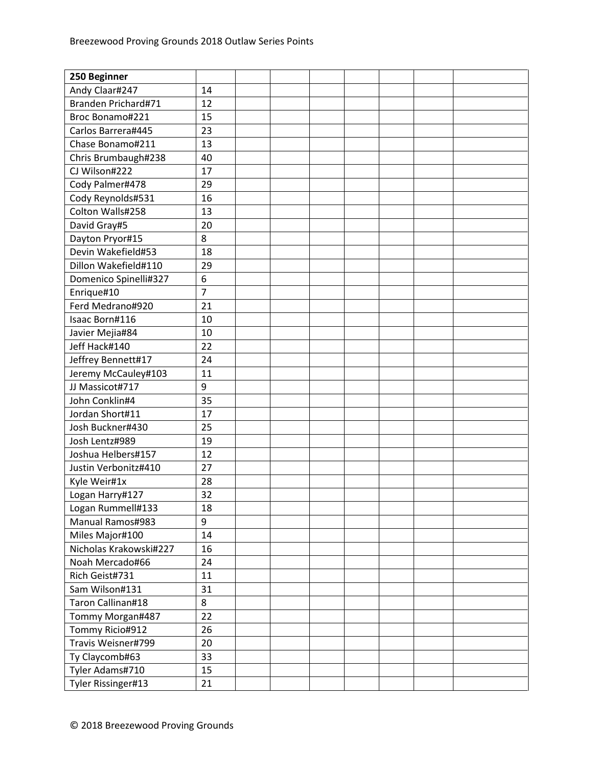| 250 Beginner            |                |  |  |  |  |
|-------------------------|----------------|--|--|--|--|
| Andy Claar#247          | 14             |  |  |  |  |
| Branden Prichard#71     | 12             |  |  |  |  |
| Broc Bonamo#221         | 15             |  |  |  |  |
| Carlos Barrera#445      | 23             |  |  |  |  |
| Chase Bonamo#211        | 13             |  |  |  |  |
| Chris Brumbaugh#238     | 40             |  |  |  |  |
| CJ Wilson#222           | 17             |  |  |  |  |
| Cody Palmer#478         | 29             |  |  |  |  |
| Cody Reynolds#531       | 16             |  |  |  |  |
| Colton Walls#258        | 13             |  |  |  |  |
| David Gray#5            | 20             |  |  |  |  |
| Dayton Pryor#15         | 8              |  |  |  |  |
| Devin Wakefield#53      | 18             |  |  |  |  |
| Dillon Wakefield#110    | 29             |  |  |  |  |
| Domenico Spinelli#327   | 6              |  |  |  |  |
| Enrique#10              | $\overline{7}$ |  |  |  |  |
| Ferd Medrano#920        | 21             |  |  |  |  |
| Isaac Born#116          | 10             |  |  |  |  |
| Javier Mejia#84         | 10             |  |  |  |  |
| Jeff Hack#140           | 22             |  |  |  |  |
| Jeffrey Bennett#17      | 24             |  |  |  |  |
| Jeremy McCauley#103     | 11             |  |  |  |  |
| JJ Massicot#717         | 9              |  |  |  |  |
| John Conklin#4          | 35             |  |  |  |  |
| Jordan Short#11         | 17             |  |  |  |  |
| Josh Buckner#430        | 25             |  |  |  |  |
| Josh Lentz#989          | 19             |  |  |  |  |
| Joshua Helbers#157      | 12             |  |  |  |  |
| Justin Verbonitz#410    | 27             |  |  |  |  |
| Kyle Weir#1x            | 28             |  |  |  |  |
| Logan Harry#127         | 32             |  |  |  |  |
| Logan Rummell#133       | 18             |  |  |  |  |
| <b>Manual Ramos#983</b> | 9              |  |  |  |  |
| Miles Major#100         | 14             |  |  |  |  |
| Nicholas Krakowski#227  | 16             |  |  |  |  |
| Noah Mercado#66         | 24             |  |  |  |  |
| Rich Geist#731          | 11             |  |  |  |  |
| Sam Wilson#131          | 31             |  |  |  |  |
| Taron Callinan#18       | 8              |  |  |  |  |
| Tommy Morgan#487        | 22             |  |  |  |  |
| Tommy Ricio#912         | 26             |  |  |  |  |
| Travis Weisner#799      | 20             |  |  |  |  |
| Ty Claycomb#63          | 33             |  |  |  |  |
| Tyler Adams#710         | 15             |  |  |  |  |
| Tyler Rissinger#13      | 21             |  |  |  |  |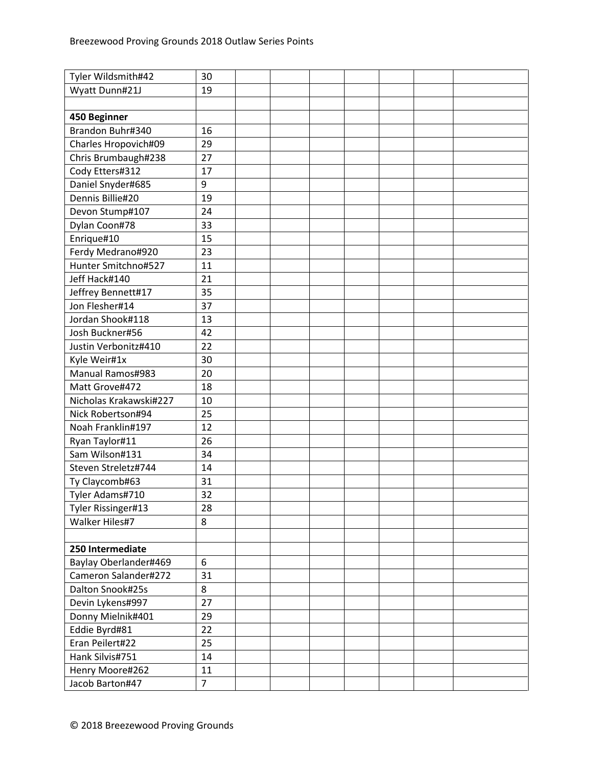| Tyler Wildsmith#42     | 30             |  |  |  |  |
|------------------------|----------------|--|--|--|--|
| Wyatt Dunn#21J         | 19             |  |  |  |  |
|                        |                |  |  |  |  |
| 450 Beginner           |                |  |  |  |  |
| Brandon Buhr#340       | 16             |  |  |  |  |
| Charles Hropovich#09   | 29             |  |  |  |  |
| Chris Brumbaugh#238    | 27             |  |  |  |  |
| Cody Etters#312        | 17             |  |  |  |  |
| Daniel Snyder#685      | 9              |  |  |  |  |
| Dennis Billie#20       | 19             |  |  |  |  |
| Devon Stump#107        | 24             |  |  |  |  |
| Dylan Coon#78          | 33             |  |  |  |  |
| Enrique#10             | 15             |  |  |  |  |
| Ferdy Medrano#920      | 23             |  |  |  |  |
| Hunter Smitchno#527    | 11             |  |  |  |  |
| Jeff Hack#140          | 21             |  |  |  |  |
| Jeffrey Bennett#17     | 35             |  |  |  |  |
| Jon Flesher#14         | 37             |  |  |  |  |
| Jordan Shook#118       | 13             |  |  |  |  |
| Josh Buckner#56        | 42             |  |  |  |  |
| Justin Verbonitz#410   | 22             |  |  |  |  |
| Kyle Weir#1x           | 30             |  |  |  |  |
| Manual Ramos#983       | 20             |  |  |  |  |
| Matt Grove#472         | 18             |  |  |  |  |
| Nicholas Krakawski#227 | 10             |  |  |  |  |
| Nick Robertson#94      | 25             |  |  |  |  |
| Noah Franklin#197      | 12             |  |  |  |  |
| Ryan Taylor#11         | 26             |  |  |  |  |
| Sam Wilson#131         | 34             |  |  |  |  |
| Steven Streletz#744    | 14             |  |  |  |  |
| Ty Claycomb#63         | 31             |  |  |  |  |
| Tyler Adams#710        | 32             |  |  |  |  |
| Tyler Rissinger#13     | 28             |  |  |  |  |
| Walker Hiles#7         | 8              |  |  |  |  |
|                        |                |  |  |  |  |
| 250 Intermediate       |                |  |  |  |  |
| Baylay Oberlander#469  | 6              |  |  |  |  |
| Cameron Salander#272   | 31             |  |  |  |  |
| Dalton Snook#25s       | 8              |  |  |  |  |
| Devin Lykens#997       | 27             |  |  |  |  |
| Donny Mielnik#401      | 29             |  |  |  |  |
| Eddie Byrd#81          | 22             |  |  |  |  |
| Eran Peilert#22        | 25             |  |  |  |  |
| Hank Silvis#751        | 14             |  |  |  |  |
| Henry Moore#262        | 11             |  |  |  |  |
| Jacob Barton#47        | $\overline{7}$ |  |  |  |  |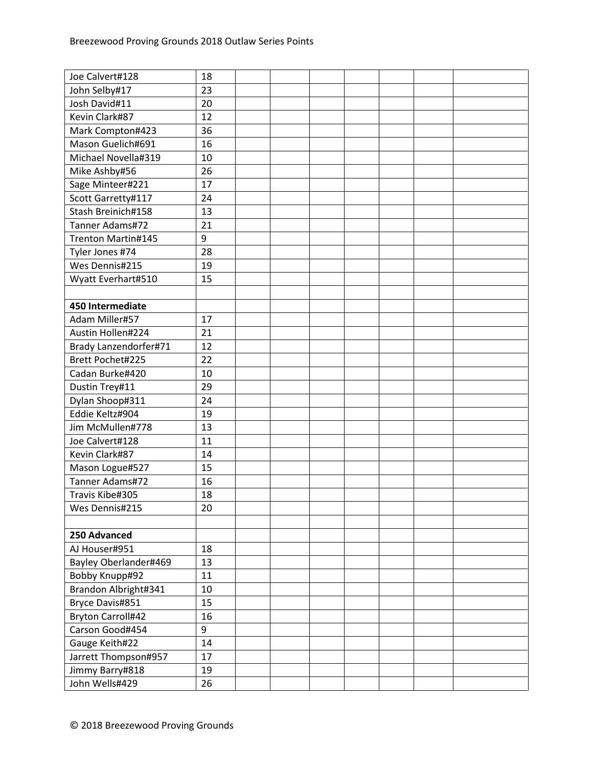| Joe Calvert#128          | 18 |  |  |  |  |
|--------------------------|----|--|--|--|--|
| John Selby#17            | 23 |  |  |  |  |
| Josh David#11            | 20 |  |  |  |  |
| Kevin Clark#87           | 12 |  |  |  |  |
| Mark Compton#423         | 36 |  |  |  |  |
| Mason Guelich#691        | 16 |  |  |  |  |
| Michael Novella#319      | 10 |  |  |  |  |
| Mike Ashby#56            | 26 |  |  |  |  |
| Sage Minteer#221         | 17 |  |  |  |  |
| Scott Garretty#117       | 24 |  |  |  |  |
| Stash Breinich#158       | 13 |  |  |  |  |
| Tanner Adams#72          | 21 |  |  |  |  |
| Trenton Martin#145       | 9  |  |  |  |  |
| Tyler Jones #74          | 28 |  |  |  |  |
| Wes Dennis#215           | 19 |  |  |  |  |
| Wyatt Everhart#510       | 15 |  |  |  |  |
|                          |    |  |  |  |  |
| 450 Intermediate         |    |  |  |  |  |
| Adam Miller#57           | 17 |  |  |  |  |
| Austin Hollen#224        | 21 |  |  |  |  |
| Brady Lanzendorfer#71    | 12 |  |  |  |  |
| Brett Pochet#225         | 22 |  |  |  |  |
| Cadan Burke#420          | 10 |  |  |  |  |
| Dustin Trey#11           | 29 |  |  |  |  |
| Dylan Shoop#311          | 24 |  |  |  |  |
| Eddie Keltz#904          | 19 |  |  |  |  |
| Jim McMullen#778         | 13 |  |  |  |  |
| Joe Calvert#128          | 11 |  |  |  |  |
| Kevin Clark#87           | 14 |  |  |  |  |
| Mason Logue#527          | 15 |  |  |  |  |
| Tanner Adams#72          | 16 |  |  |  |  |
| Travis Kibe#305          | 18 |  |  |  |  |
| Wes Dennis#215           | 20 |  |  |  |  |
|                          |    |  |  |  |  |
| 250 Advanced             |    |  |  |  |  |
| AJ Houser#951            | 18 |  |  |  |  |
| Bayley Oberlander#469    | 13 |  |  |  |  |
| Bobby Knupp#92           | 11 |  |  |  |  |
| Brandon Albright#341     | 10 |  |  |  |  |
| Bryce Davis#851          | 15 |  |  |  |  |
| <b>Bryton Carroll#42</b> | 16 |  |  |  |  |
| Carson Good#454          | 9  |  |  |  |  |
| Gauge Keith#22           | 14 |  |  |  |  |
| Jarrett Thompson#957     | 17 |  |  |  |  |
| Jimmy Barry#818          | 19 |  |  |  |  |
| John Wells#429           | 26 |  |  |  |  |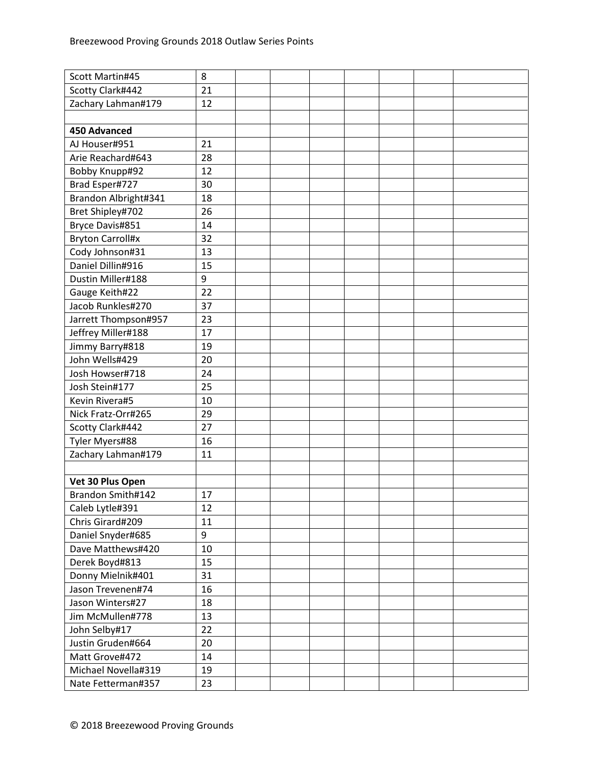| Scott Martin#45         | 8  |  |  |  |  |
|-------------------------|----|--|--|--|--|
| Scotty Clark#442        | 21 |  |  |  |  |
| Zachary Lahman#179      | 12 |  |  |  |  |
|                         |    |  |  |  |  |
| <b>450 Advanced</b>     |    |  |  |  |  |
| AJ Houser#951           | 21 |  |  |  |  |
| Arie Reachard#643       | 28 |  |  |  |  |
| Bobby Knupp#92          | 12 |  |  |  |  |
| Brad Esper#727          | 30 |  |  |  |  |
| Brandon Albright#341    | 18 |  |  |  |  |
| Bret Shipley#702        | 26 |  |  |  |  |
| Bryce Davis#851         | 14 |  |  |  |  |
| <b>Bryton Carroll#x</b> | 32 |  |  |  |  |
| Cody Johnson#31         | 13 |  |  |  |  |
| Daniel Dillin#916       | 15 |  |  |  |  |
| Dustin Miller#188       | 9  |  |  |  |  |
| Gauge Keith#22          | 22 |  |  |  |  |
| Jacob Runkles#270       | 37 |  |  |  |  |
| Jarrett Thompson#957    | 23 |  |  |  |  |
| Jeffrey Miller#188      | 17 |  |  |  |  |
| Jimmy Barry#818         | 19 |  |  |  |  |
| John Wells#429          | 20 |  |  |  |  |
| Josh Howser#718         | 24 |  |  |  |  |
| Josh Stein#177          | 25 |  |  |  |  |
| Kevin Rivera#5          | 10 |  |  |  |  |
| Nick Fratz-Orr#265      | 29 |  |  |  |  |
| Scotty Clark#442        | 27 |  |  |  |  |
| Tyler Myers#88          | 16 |  |  |  |  |
| Zachary Lahman#179      | 11 |  |  |  |  |
|                         |    |  |  |  |  |
| Vet 30 Plus Open        |    |  |  |  |  |
| Brandon Smith#142       | 17 |  |  |  |  |
| Caleb Lytle#391         | 12 |  |  |  |  |
| Chris Girard#209        | 11 |  |  |  |  |
| Daniel Snyder#685       | 9  |  |  |  |  |
| Dave Matthews#420       | 10 |  |  |  |  |
| Derek Boyd#813          | 15 |  |  |  |  |
| Donny Mielnik#401       | 31 |  |  |  |  |
| Jason Trevenen#74       | 16 |  |  |  |  |
| Jason Winters#27        | 18 |  |  |  |  |
| Jim McMullen#778        | 13 |  |  |  |  |
| John Selby#17           | 22 |  |  |  |  |
| Justin Gruden#664       | 20 |  |  |  |  |
| Matt Grove#472          | 14 |  |  |  |  |
| Michael Novella#319     | 19 |  |  |  |  |
| Nate Fetterman#357      | 23 |  |  |  |  |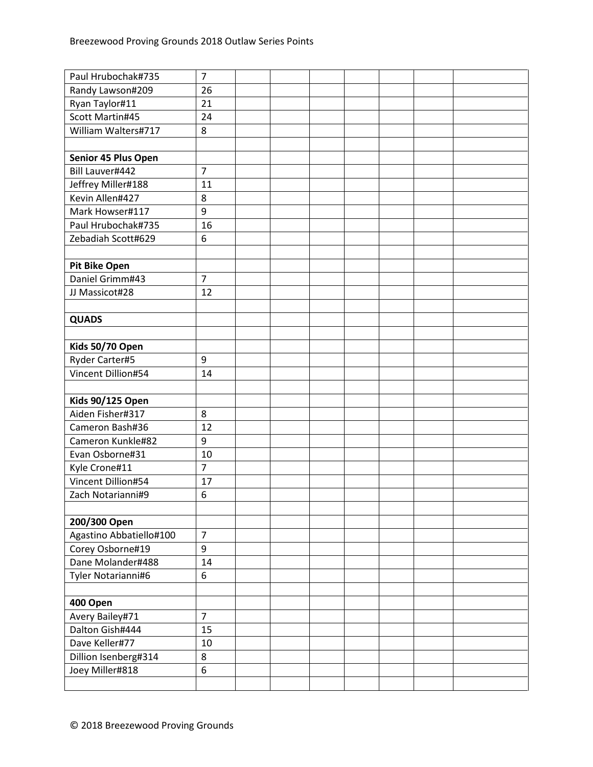| Paul Hrubochak#735      | $\overline{7}$ |  |  |  |  |
|-------------------------|----------------|--|--|--|--|
| Randy Lawson#209        | 26             |  |  |  |  |
| Ryan Taylor#11          | 21             |  |  |  |  |
| Scott Martin#45         | 24             |  |  |  |  |
| William Walters#717     | 8              |  |  |  |  |
|                         |                |  |  |  |  |
| Senior 45 Plus Open     |                |  |  |  |  |
| Bill Lauver#442         | $\overline{7}$ |  |  |  |  |
| Jeffrey Miller#188      | 11             |  |  |  |  |
| Kevin Allen#427         | 8              |  |  |  |  |
| Mark Howser#117         | 9              |  |  |  |  |
| Paul Hrubochak#735      | 16             |  |  |  |  |
| Zebadiah Scott#629      | 6              |  |  |  |  |
|                         |                |  |  |  |  |
| Pit Bike Open           |                |  |  |  |  |
| Daniel Grimm#43         | $\overline{7}$ |  |  |  |  |
| JJ Massicot#28          | 12             |  |  |  |  |
|                         |                |  |  |  |  |
| <b>QUADS</b>            |                |  |  |  |  |
|                         |                |  |  |  |  |
| Kids 50/70 Open         |                |  |  |  |  |
| Ryder Carter#5          | 9              |  |  |  |  |
| Vincent Dillion#54      | 14             |  |  |  |  |
|                         |                |  |  |  |  |
| <b>Kids 90/125 Open</b> |                |  |  |  |  |
| Aiden Fisher#317        | 8              |  |  |  |  |
| Cameron Bash#36         | 12             |  |  |  |  |
| Cameron Kunkle#82       | 9              |  |  |  |  |
| Evan Osborne#31         | 10             |  |  |  |  |
| Kyle Crone#11           | $\overline{7}$ |  |  |  |  |
| Vincent Dillion#54      | 17             |  |  |  |  |
| Zach Notarianni#9       | 6              |  |  |  |  |
|                         |                |  |  |  |  |
| 200/300 Open            |                |  |  |  |  |
| Agastino Abbatiello#100 | $\overline{7}$ |  |  |  |  |
| Corey Osborne#19        | 9              |  |  |  |  |
| Dane Molander#488       | 14             |  |  |  |  |
| Tyler Notarianni#6      | 6              |  |  |  |  |
|                         |                |  |  |  |  |
| 400 Open                |                |  |  |  |  |
| Avery Bailey#71         | $\overline{7}$ |  |  |  |  |
| Dalton Gish#444         | 15             |  |  |  |  |
| Dave Keller#77          | 10             |  |  |  |  |
| Dillion Isenberg#314    | 8              |  |  |  |  |
| Joey Miller#818         | 6              |  |  |  |  |
|                         |                |  |  |  |  |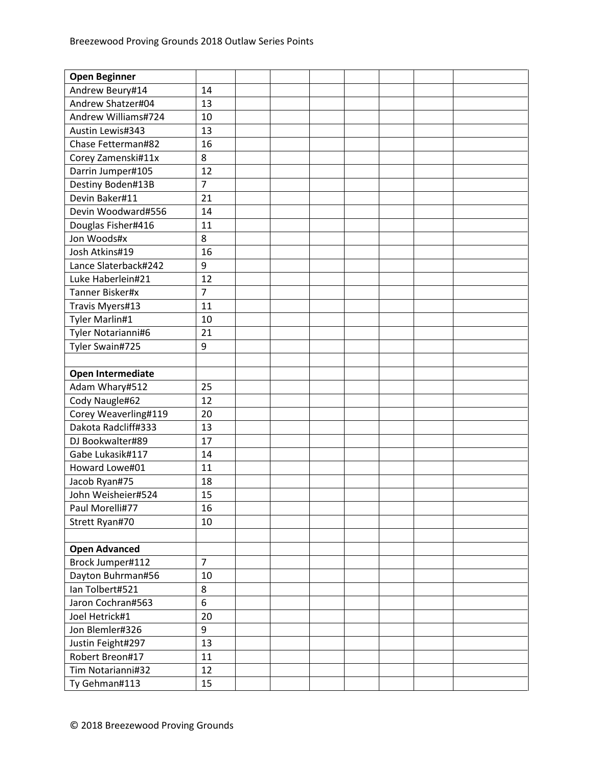| <b>Open Beginner</b> |                |  |  |  |  |
|----------------------|----------------|--|--|--|--|
| Andrew Beury#14      | 14             |  |  |  |  |
| Andrew Shatzer#04    | 13             |  |  |  |  |
| Andrew Williams#724  | 10             |  |  |  |  |
| Austin Lewis#343     | 13             |  |  |  |  |
| Chase Fetterman#82   | 16             |  |  |  |  |
| Corey Zamenski#11x   | 8              |  |  |  |  |
| Darrin Jumper#105    | 12             |  |  |  |  |
| Destiny Boden#13B    | $\overline{7}$ |  |  |  |  |
| Devin Baker#11       | 21             |  |  |  |  |
| Devin Woodward#556   | 14             |  |  |  |  |
| Douglas Fisher#416   | 11             |  |  |  |  |
| Jon Woods#x          | 8              |  |  |  |  |
| Josh Atkins#19       | 16             |  |  |  |  |
| Lance Slaterback#242 | 9              |  |  |  |  |
| Luke Haberlein#21    | 12             |  |  |  |  |
| Tanner Bisker#x      | $\overline{7}$ |  |  |  |  |
| Travis Myers#13      | 11             |  |  |  |  |
| Tyler Marlin#1       | 10             |  |  |  |  |
| Tyler Notarianni#6   | 21             |  |  |  |  |
| Tyler Swain#725      | 9              |  |  |  |  |
|                      |                |  |  |  |  |
| Open Intermediate    |                |  |  |  |  |
| Adam Whary#512       | 25             |  |  |  |  |
| Cody Naugle#62       | 12             |  |  |  |  |
| Corey Weaverling#119 | 20             |  |  |  |  |
| Dakota Radcliff#333  | 13             |  |  |  |  |
| DJ Bookwalter#89     | 17             |  |  |  |  |
| Gabe Lukasik#117     | 14             |  |  |  |  |
| Howard Lowe#01       | 11             |  |  |  |  |
| Jacob Ryan#75        | 18             |  |  |  |  |
| John Weisheier#524   | 15             |  |  |  |  |
| Paul Morelli#77      | 16             |  |  |  |  |
| Strett Ryan#70       | 10             |  |  |  |  |
|                      |                |  |  |  |  |
| <b>Open Advanced</b> |                |  |  |  |  |
| Brock Jumper#112     | $\overline{7}$ |  |  |  |  |
| Dayton Buhrman#56    | 10             |  |  |  |  |
| Ian Tolbert#521      | 8              |  |  |  |  |
| Jaron Cochran#563    | 6              |  |  |  |  |
| Joel Hetrick#1       | 20             |  |  |  |  |
| Jon Blemler#326      | 9              |  |  |  |  |
| Justin Feight#297    | 13             |  |  |  |  |
| Robert Breon#17      | 11             |  |  |  |  |
| Tim Notarianni#32    | 12             |  |  |  |  |
| Ty Gehman#113        | 15             |  |  |  |  |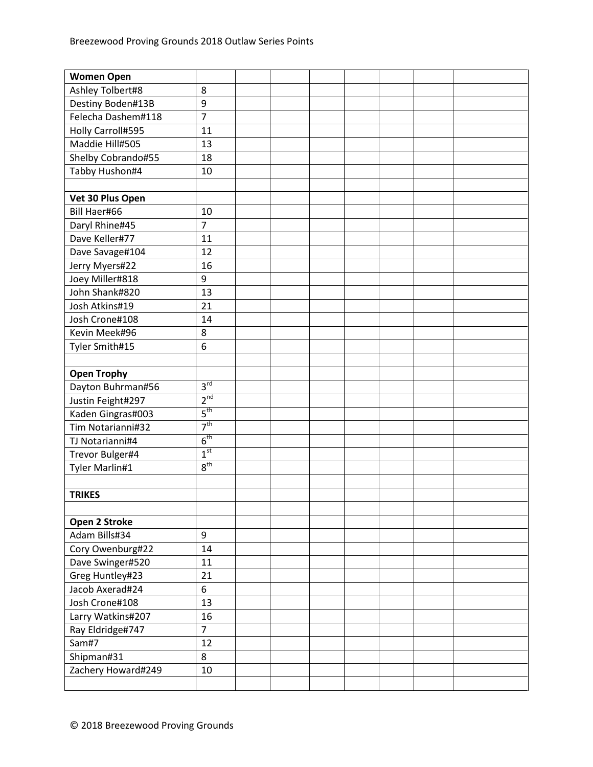| <b>Women Open</b>  |                 |  |  |  |  |
|--------------------|-----------------|--|--|--|--|
| Ashley Tolbert#8   | 8               |  |  |  |  |
| Destiny Boden#13B  | 9               |  |  |  |  |
| Felecha Dashem#118 | $\overline{7}$  |  |  |  |  |
| Holly Carroll#595  | 11              |  |  |  |  |
| Maddie Hill#505    | 13              |  |  |  |  |
| Shelby Cobrando#55 | 18              |  |  |  |  |
| Tabby Hushon#4     | 10              |  |  |  |  |
|                    |                 |  |  |  |  |
| Vet 30 Plus Open   |                 |  |  |  |  |
| Bill Haer#66       | 10              |  |  |  |  |
| Daryl Rhine#45     | $\overline{7}$  |  |  |  |  |
| Dave Keller#77     | 11              |  |  |  |  |
| Dave Savage#104    | 12              |  |  |  |  |
| Jerry Myers#22     | 16              |  |  |  |  |
| Joey Miller#818    | 9               |  |  |  |  |
| John Shank#820     | 13              |  |  |  |  |
| Josh Atkins#19     | 21              |  |  |  |  |
| Josh Crone#108     | 14              |  |  |  |  |
| Kevin Meek#96      | 8               |  |  |  |  |
| Tyler Smith#15     | 6               |  |  |  |  |
|                    |                 |  |  |  |  |
| <b>Open Trophy</b> |                 |  |  |  |  |
| Dayton Buhrman#56  | 3 <sup>rd</sup> |  |  |  |  |
| Justin Feight#297  | 2 <sup>nd</sup> |  |  |  |  |
| Kaden Gingras#003  | 5 <sup>th</sup> |  |  |  |  |
| Tim Notarianni#32  | 7 <sup>th</sup> |  |  |  |  |
| TJ Notarianni#4    | 6 <sup>th</sup> |  |  |  |  |
| Trevor Bulger#4    | 1 <sup>st</sup> |  |  |  |  |
| Tyler Marlin#1     | 8 <sup>th</sup> |  |  |  |  |
|                    |                 |  |  |  |  |
| <b>TRIKES</b>      |                 |  |  |  |  |
|                    |                 |  |  |  |  |
| Open 2 Stroke      |                 |  |  |  |  |
| Adam Bills#34      | 9               |  |  |  |  |
| Cory Owenburg#22   | 14              |  |  |  |  |
| Dave Swinger#520   | 11              |  |  |  |  |
| Greg Huntley#23    | 21              |  |  |  |  |
| Jacob Axerad#24    | 6               |  |  |  |  |
| Josh Crone#108     | 13              |  |  |  |  |
| Larry Watkins#207  | 16              |  |  |  |  |
| Ray Eldridge#747   | $\overline{7}$  |  |  |  |  |
| Sam#7              | 12              |  |  |  |  |
| Shipman#31         | 8               |  |  |  |  |
| Zachery Howard#249 | 10              |  |  |  |  |
|                    |                 |  |  |  |  |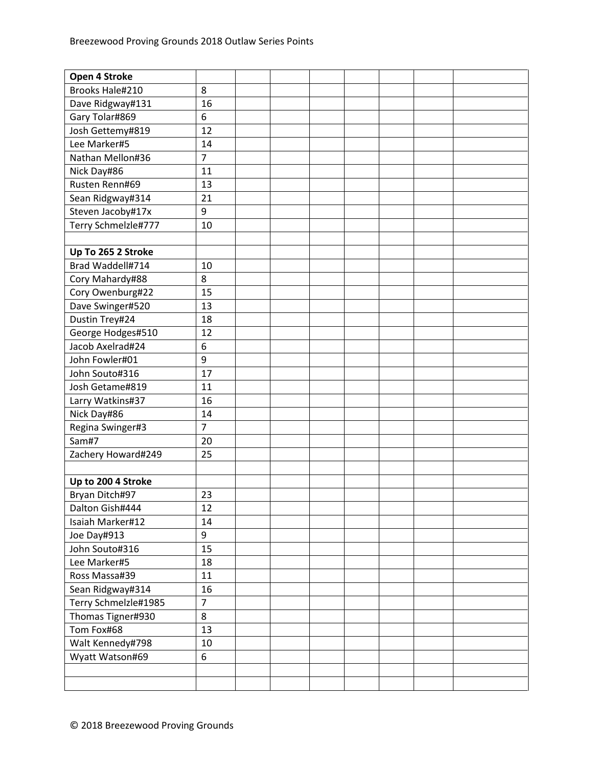| Open 4 Stroke        |                |  |  |  |  |
|----------------------|----------------|--|--|--|--|
| Brooks Hale#210      | 8              |  |  |  |  |
| Dave Ridgway#131     | 16             |  |  |  |  |
| Gary Tolar#869       | 6              |  |  |  |  |
| Josh Gettemy#819     | 12             |  |  |  |  |
| Lee Marker#5         | 14             |  |  |  |  |
| Nathan Mellon#36     | $\overline{7}$ |  |  |  |  |
| Nick Day#86          | 11             |  |  |  |  |
| Rusten Renn#69       | 13             |  |  |  |  |
| Sean Ridgway#314     | 21             |  |  |  |  |
| Steven Jacoby#17x    | 9              |  |  |  |  |
| Terry Schmelzle#777  | 10             |  |  |  |  |
|                      |                |  |  |  |  |
| Up To 265 2 Stroke   |                |  |  |  |  |
| Brad Waddell#714     | 10             |  |  |  |  |
| Cory Mahardy#88      | 8              |  |  |  |  |
| Cory Owenburg#22     | 15             |  |  |  |  |
| Dave Swinger#520     | 13             |  |  |  |  |
| Dustin Trey#24       | 18             |  |  |  |  |
| George Hodges#510    | 12             |  |  |  |  |
| Jacob Axelrad#24     | 6              |  |  |  |  |
| John Fowler#01       | 9              |  |  |  |  |
| John Souto#316       | 17             |  |  |  |  |
| Josh Getame#819      | 11             |  |  |  |  |
| Larry Watkins#37     | 16             |  |  |  |  |
| Nick Day#86          | 14             |  |  |  |  |
| Regina Swinger#3     | $\overline{7}$ |  |  |  |  |
| Sam#7                | 20             |  |  |  |  |
| Zachery Howard#249   | 25             |  |  |  |  |
|                      |                |  |  |  |  |
| Up to 200 4 Stroke   |                |  |  |  |  |
| Bryan Ditch#97       | 23             |  |  |  |  |
| Dalton Gish#444      | 12             |  |  |  |  |
| Isaiah Marker#12     | 14             |  |  |  |  |
| Joe Day#913          | 9              |  |  |  |  |
| John Souto#316       | 15             |  |  |  |  |
| Lee Marker#5         | 18             |  |  |  |  |
| Ross Massa#39        | 11             |  |  |  |  |
| Sean Ridgway#314     | 16             |  |  |  |  |
| Terry Schmelzle#1985 | $\overline{7}$ |  |  |  |  |
| Thomas Tigner#930    | 8              |  |  |  |  |
| Tom Fox#68           | 13             |  |  |  |  |
| Walt Kennedy#798     | 10             |  |  |  |  |
| Wyatt Watson#69      | 6              |  |  |  |  |
|                      |                |  |  |  |  |
|                      |                |  |  |  |  |